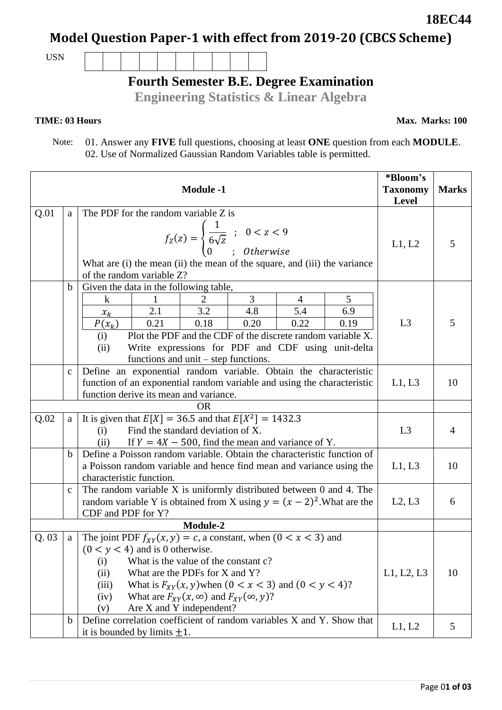# **Model Question Paper-1 with effect from 2019-20 (CBCS Scheme)**

USN

## **Fourth Semester B.E. Degree Examination**

**Engineering Statistics & Linear Algebra**

### **TIME: 03 Hours**

 Note: 01. Answer any **FIVE** full questions, choosing at least **ONE** question from each **MODULE**. 02. Use of Normalized Gaussian Random Variables table is permitted.

|      |              | <b>Module -1</b>                                                                                                                                                                                                                                                                                                                                                                   | *Bloom's<br><b>Taxonomy</b><br>Level | <b>Marks</b> |
|------|--------------|------------------------------------------------------------------------------------------------------------------------------------------------------------------------------------------------------------------------------------------------------------------------------------------------------------------------------------------------------------------------------------|--------------------------------------|--------------|
| Q.01 | a            | The PDF for the random variable Z is<br>$f_Z(z) = \begin{cases} \frac{1}{6\sqrt{z}} & ; & 0 < z < 9 \\ 0 & ; & Otherwise \end{cases}$<br>What are (i) the mean (ii) the mean of the square, and (iii) the variance<br>of the random variable Z?                                                                                                                                    | L1, L2                               | 5            |
|      | $\mathbf b$  | Given the data in the following table,<br>3<br>5<br>2<br>k<br>1<br>4<br>3.2<br>5.4<br>2.1<br>4.8<br>6.9<br>$x_k$<br>0.21<br>0.18<br>0.20<br>0.22<br>0.19<br>$P(x_k)$<br>Plot the PDF and the CDF of the discrete random variable X.<br>(i)<br>Write expressions for PDF and CDF using unit-delta<br>(ii)<br>functions and $unit - step$ functions.                                 | L <sub>3</sub>                       | 5            |
|      | $\mathbf{C}$ | Define an exponential random variable. Obtain the characteristic<br>function of an exponential random variable and using the characteristic<br>function derive its mean and variance.                                                                                                                                                                                              | L1, L3                               | 10           |
| Q.02 | a            | <b>OR</b><br>It is given that $E[X] = 36.5$ and that $E[X^2] = 1432.3$<br>Find the standard deviation of X.<br>(i)<br>If $Y = 4X - 500$ , find the mean and variance of Y.<br>(ii)                                                                                                                                                                                                 | L3                                   | 4            |
|      | $\mathbf b$  | Define a Poisson random variable. Obtain the characteristic function of<br>a Poisson random variable and hence find mean and variance using the<br>characteristic function.                                                                                                                                                                                                        | L1, L3                               | 10           |
|      | $\mathbf{c}$ | The random variable $X$ is uniformly distributed between 0 and 4. The<br>random variable Y is obtained from X using $y = (x - 2)^2$ . What are the<br>CDF and PDF for Y?                                                                                                                                                                                                           | L2, L3                               | 6            |
|      |              | Module-2                                                                                                                                                                                                                                                                                                                                                                           |                                      |              |
| Q.03 | a            | The joint PDF $f_{XY}(x, y) = c$ , a constant, when $(0 < x < 3)$ and<br>$(0 < y < 4)$ and is 0 otherwise.<br>What is the value of the constant c?<br>(i)<br>What are the PDFs for X and Y?<br>(ii)<br>What is $F_{XY}(x, y)$ when $(0 < x < 3)$ and $(0 < y < 4)$ ?<br>(iii)<br>What are $F_{XY}(x, \infty)$ and $F_{XY}(\infty, y)$ ?<br>(iv)<br>Are X and Y independent?<br>(v) | L1, L2, L3                           | 10           |
|      | $\mathbf b$  | Define correlation coefficient of random variables X and Y. Show that<br>it is bounded by limits $\pm 1$ .                                                                                                                                                                                                                                                                         | L1, L2                               | 5            |

**18EC44**

**Max. Marks: 100**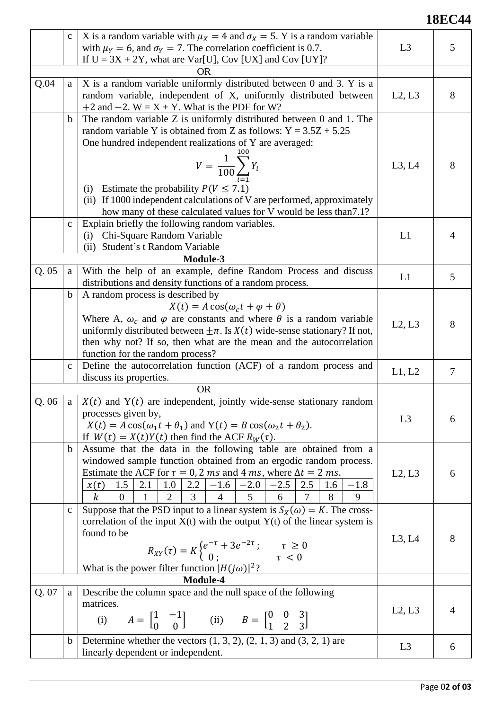### **18EC44**

|       | $\mathbf{C}$                | X is a random variable with $\mu_X = 4$ and $\sigma_X = 5$ . Y is a random variable<br>with $\mu_Y = 6$ , and $\sigma_Y = 7$ . The correlation coefficient is 0.7.                                                                                                                                                                                                                                                                                                                                                                      | L <sub>3</sub> | 5      |
|-------|-----------------------------|-----------------------------------------------------------------------------------------------------------------------------------------------------------------------------------------------------------------------------------------------------------------------------------------------------------------------------------------------------------------------------------------------------------------------------------------------------------------------------------------------------------------------------------------|----------------|--------|
|       |                             | If $U = 3X + 2Y$ , what are Var[U], Cov [UX] and Cov [UY]?                                                                                                                                                                                                                                                                                                                                                                                                                                                                              |                |        |
|       |                             | <b>OR</b>                                                                                                                                                                                                                                                                                                                                                                                                                                                                                                                               |                |        |
| Q.04  | a                           | X is a random variable uniformly distributed between 0 and 3. Y is a<br>random variable, independent of X, uniformly distributed between<br>+2 and $-2$ . W = X + Y. What is the PDF for W?                                                                                                                                                                                                                                                                                                                                             | L2, L3         | 8      |
|       | $\mathbf b$<br>$\mathbf{C}$ | The random variable Z is uniformly distributed between 0 and 1. The<br>random variable Y is obtained from Z as follows: $Y = 3.5Z + 5.25$<br>One hundred independent realizations of Y are averaged:<br>$V = \frac{1}{100} \sum_{i=1}^{100} Y_i$<br>Estimate the probability $P(V \le 7.1)$<br>(i)<br>(ii) If 1000 independent calculations of V are performed, approximately<br>how many of these calculated values for V would be less than 7.1?<br>Explain briefly the following random variables.<br>(i) Chi-Square Random Variable | L3, L4<br>L1   | 8<br>4 |
|       |                             | (ii) Student's t Random Variable                                                                                                                                                                                                                                                                                                                                                                                                                                                                                                        |                |        |
| Q.05  | a                           | Module-3<br>With the help of an example, define Random Process and discuss<br>distributions and density functions of a random process.                                                                                                                                                                                                                                                                                                                                                                                                  | L1             | 5      |
|       | $\mathbf b$                 | A random process is described by<br>$X(t) = A \cos(\omega_c t + \varphi + \theta)$<br>Where A, $\omega_c$ and $\varphi$ are constants and where $\theta$ is a random variable<br>uniformly distributed between $\pm \pi$ . Is $X(t)$ wide-sense stationary? If not,<br>then why not? If so, then what are the mean and the autocorrelation<br>function for the random process?                                                                                                                                                          | L2, L3         | 8      |
|       | $\mathbf{c}$                | Define the autocorrelation function (ACF) of a random process and<br>discuss its properties.                                                                                                                                                                                                                                                                                                                                                                                                                                            | L1, L2         | 7      |
|       |                             | <b>OR</b>                                                                                                                                                                                                                                                                                                                                                                                                                                                                                                                               |                |        |
| Q.06  | a l                         | $X(t)$ and Y(t) are independent, jointly wide-sense stationary random<br>processes given by,<br>$X(t) = A \cos(\omega_1 t + \theta_1)$ and $Y(t) = B \cos(\omega_2 t + \theta_2)$ .<br>If $W(t) = X(t)Y(t)$ then find the ACF $R_W(\tau)$ .                                                                                                                                                                                                                                                                                             | L3             | 6      |
|       | $\mathbf b$                 | Assume that the data in the following table are obtained from a<br>windowed sample function obtained from an ergodic random process.<br>Estimate the ACF for $\tau = 0$ , 2 ms and 4 ms, where $\Delta t = 2$ ms.<br>$\begin{array}{ c c c c c c c c c c c } \hline 1.0 & 2.2 & -1.6 & -2.0 & -2.5 & 2.5 & 1.6 \\ \hline 2 & 3 & 4 & 5 & 6 & 7 & 8 \\ \hline \end{array}$<br>$1.5$   $2.1$<br>x(t)<br>$-1.8$<br>3 <sup>T</sup><br>$\boldsymbol{k}$<br>9<br>$\Omega$                                                                     | L2, L3         | 6      |
|       | $\mathbf{C}$                | Suppose that the PSD input to a linear system is $S_X(\omega) = K$ . The cross-<br>correlation of the input $X(t)$ with the output $Y(t)$ of the linear system is<br>found to be<br>$R_{XY}(\tau) = K \begin{cases} e^{-\tau} + 3e^{-2\tau} & \tau \ge 0 \\ 0 & \tau < 0 \end{cases}$<br>What is the power filter function $ H(j\omega) ^2$ ?                                                                                                                                                                                           | L3, L4         | 8      |
|       |                             | Module-4                                                                                                                                                                                                                                                                                                                                                                                                                                                                                                                                |                |        |
| Q. 07 | a                           | Describe the column space and the null space of the following<br>matrices.<br>(i) $A = \begin{bmatrix} 1 & -1 \\ 0 & 0 \end{bmatrix}$ (ii) $B = \begin{bmatrix} 0 & 0 & 3 \\ 1 & 2 & 3 \end{bmatrix}$                                                                                                                                                                                                                                                                                                                                   | L2, L3         | 4      |
|       | $\mathbf b$                 | Determine whether the vectors $(1, 3, 2), (2, 1, 3)$ and $(3, 2, 1)$ are<br>linearly dependent or independent.                                                                                                                                                                                                                                                                                                                                                                                                                          | L <sub>3</sub> | 6      |